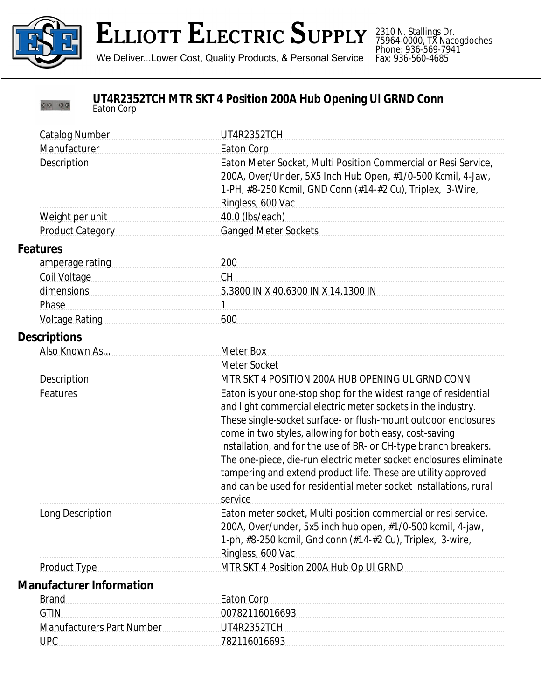

00 00

## **ELLIOTT ELECTRIC SUPPLY**

2310 N. Stallings Dr. 75964-0000, TX Nacogdoches Phone: 936-569-7941 Fax: 936-560-4685

We Deliver...Lower Cost, Quality Products, & Personal Service

## **UT4R2352TCH MTR SKT 4 Position 200A Hub Opening Ul GRND Conn** *Eaton Corp*

| <b>Catalog Number</b>            | UT4R2352TCH                                                                                                                                                                                                                                                                                                                                                                                                                                                                                                                                            |
|----------------------------------|--------------------------------------------------------------------------------------------------------------------------------------------------------------------------------------------------------------------------------------------------------------------------------------------------------------------------------------------------------------------------------------------------------------------------------------------------------------------------------------------------------------------------------------------------------|
| Manufacturer                     | <b>Eaton Corp</b>                                                                                                                                                                                                                                                                                                                                                                                                                                                                                                                                      |
| Description                      | Eaton Meter Socket, Multi Position Commercial or Resi Service,<br>200A, Over/Under, 5X5 Inch Hub Open, #1/0-500 Kcmil, 4-Jaw,<br>1-PH, #8-250 Kcmil, GND Conn (#14-#2 Cu), Triplex, 3-Wire,<br>Ringless, 600 Vac et al. and a support of the Ringless, 600 Vac                                                                                                                                                                                                                                                                                         |
| Weight per unit                  | 40.0 (lbs/each)                                                                                                                                                                                                                                                                                                                                                                                                                                                                                                                                        |
| Product Category                 | <b>Ganged Meter Sockets</b>                                                                                                                                                                                                                                                                                                                                                                                                                                                                                                                            |
| <b>Features</b>                  |                                                                                                                                                                                                                                                                                                                                                                                                                                                                                                                                                        |
| amperage rating                  | 200                                                                                                                                                                                                                                                                                                                                                                                                                                                                                                                                                    |
| Coil Voltage                     | <b>CH</b>                                                                                                                                                                                                                                                                                                                                                                                                                                                                                                                                              |
| dimensions                       | 5.3800 IN X 40.6300 IN X 14.1300 IN                                                                                                                                                                                                                                                                                                                                                                                                                                                                                                                    |
| Phase                            | $\mathbf{1}$                                                                                                                                                                                                                                                                                                                                                                                                                                                                                                                                           |
| Voltage Rating                   | 600                                                                                                                                                                                                                                                                                                                                                                                                                                                                                                                                                    |
| <b>Descriptions</b>              |                                                                                                                                                                                                                                                                                                                                                                                                                                                                                                                                                        |
| Also Known As                    | <b>Meter Box</b>                                                                                                                                                                                                                                                                                                                                                                                                                                                                                                                                       |
|                                  | Meter Socket                                                                                                                                                                                                                                                                                                                                                                                                                                                                                                                                           |
| Description                      | MTR SKT 4 POSITION 200A HUB OPENING UL GRND CONN                                                                                                                                                                                                                                                                                                                                                                                                                                                                                                       |
| Features                         | Eaton is your one-stop shop for the widest range of residential<br>and light commercial electric meter sockets in the industry.<br>These single-socket surface- or flush-mount outdoor enclosures<br>come in two styles, allowing for both easy, cost-saving<br>installation, and for the use of BR- or CH-type branch breakers.<br>The one-piece, die-run electric meter socket enclosures eliminate<br>tampering and extend product life. These are utility approved<br>and can be used for residential meter socket installations, rural<br>service |
| Long Description                 | Eaton meter socket, Multi position commercial or resi service,<br>200A, Over/under, 5x5 inch hub open, #1/0-500 kcmil, 4-jaw,<br>1-ph, #8-250 kcmil, Gnd conn (#14-#2 Cu), Triplex, 3-wire,<br>Ringless, 600 Vac                                                                                                                                                                                                                                                                                                                                       |
| Product Type                     | MTR SKT 4 Position 200A Hub Op UI GRND                                                                                                                                                                                                                                                                                                                                                                                                                                                                                                                 |
| <b>Manufacturer Information</b>  |                                                                                                                                                                                                                                                                                                                                                                                                                                                                                                                                                        |
| <b>Brand</b>                     | <b>Eaton Corp</b>                                                                                                                                                                                                                                                                                                                                                                                                                                                                                                                                      |
| <b>GTIN</b>                      | 00782116016693                                                                                                                                                                                                                                                                                                                                                                                                                                                                                                                                         |
| <b>Manufacturers Part Number</b> | UT4R2352TCH                                                                                                                                                                                                                                                                                                                                                                                                                                                                                                                                            |
| <b>UPC</b>                       | 782116016693                                                                                                                                                                                                                                                                                                                                                                                                                                                                                                                                           |